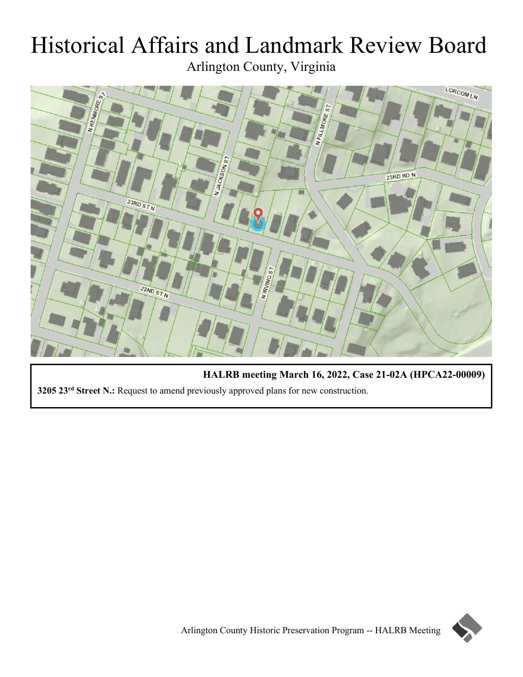# Historical Affairs and Landmark Review Board Arlington County, Virginia



**HALRB meeting March 16, 2022, Case 21-02A (HPCA22-00009) 3205 23rd Street N.:** Request to amend previously approved plans for new construction.

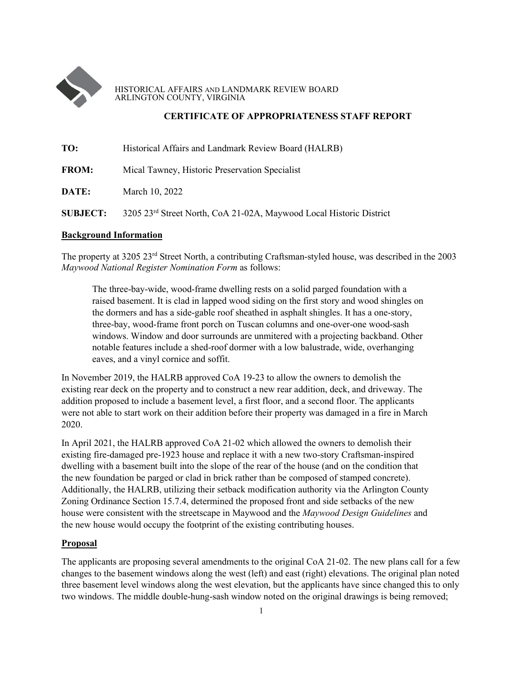

#### HISTORICAL AFFAIRS AND LANDMARK REVIEW BOARD ARLINGTON COUNTY, VIRGINIA

## **CERTIFICATE OF APPROPRIATENESS STAFF REPORT**

| TO:          | Historical Affairs and Landmark Review Board (HALRB) |
|--------------|------------------------------------------------------|
| <b>FROM:</b> | Mical Tawney, Historic Preservation Specialist       |
| DATE:        | March 10, 2022                                       |

# **SUBJECT:** 3205 23rd Street North, CoA 21-02A, Maywood Local Historic District

#### **Background Information**

The property at 3205 23rd Street North, a contributing Craftsman-styled house, was described in the 2003 *Maywood National Register Nomination Form* as follows:

The three-bay-wide, wood-frame dwelling rests on a solid parged foundation with a raised basement. It is clad in lapped wood siding on the first story and wood shingles on the dormers and has a side-gable roof sheathed in asphalt shingles. It has a one-story, three-bay, wood-frame front porch on Tuscan columns and one-over-one wood-sash windows. Window and door surrounds are unmitered with a projecting backband. Other notable features include a shed-roof dormer with a low balustrade, wide, overhanging eaves, and a vinyl cornice and soffit.

In November 2019, the HALRB approved CoA 19-23 to allow the owners to demolish the existing rear deck on the property and to construct a new rear addition, deck, and driveway. The addition proposed to include a basement level, a first floor, and a second floor. The applicants were not able to start work on their addition before their property was damaged in a fire in March 2020.

In April 2021, the HALRB approved CoA 21-02 which allowed the owners to demolish their existing fire-damaged pre-1923 house and replace it with a new two-story Craftsman-inspired dwelling with a basement built into the slope of the rear of the house (and on the condition that the new foundation be parged or clad in brick rather than be composed of stamped concrete). Additionally, the HALRB, utilizing their setback modification authority via the Arlington County Zoning Ordinance Section 15.7.4, determined the proposed front and side setbacks of the new house were consistent with the streetscape in Maywood and the *Maywood Design Guidelines* and the new house would occupy the footprint of the existing contributing houses.

#### **Proposal**

The applicants are proposing several amendments to the original CoA 21-02. The new plans call for a few changes to the basement windows along the west (left) and east (right) elevations. The original plan noted three basement level windows along the west elevation, but the applicants have since changed this to only two windows. The middle double-hung-sash window noted on the original drawings is being removed;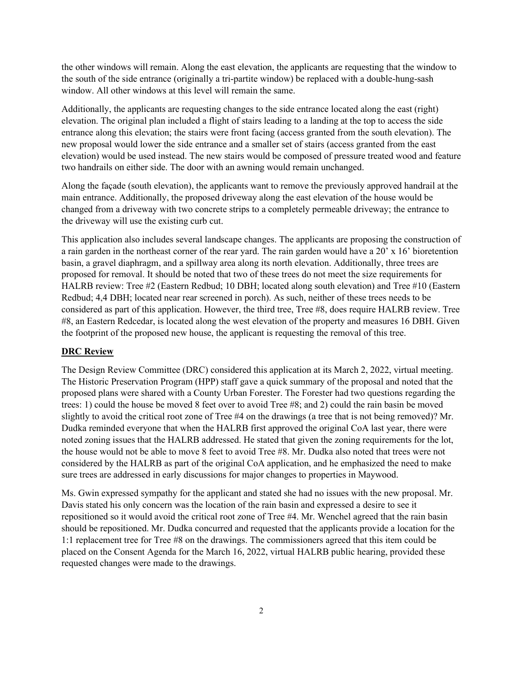the other windows will remain. Along the east elevation, the applicants are requesting that the window to the south of the side entrance (originally a tri-partite window) be replaced with a double-hung-sash window. All other windows at this level will remain the same.

Additionally, the applicants are requesting changes to the side entrance located along the east (right) elevation. The original plan included a flight of stairs leading to a landing at the top to access the side entrance along this elevation; the stairs were front facing (access granted from the south elevation). The new proposal would lower the side entrance and a smaller set of stairs (access granted from the east elevation) would be used instead. The new stairs would be composed of pressure treated wood and feature two handrails on either side. The door with an awning would remain unchanged.

Along the façade (south elevation), the applicants want to remove the previously approved handrail at the main entrance. Additionally, the proposed driveway along the east elevation of the house would be changed from a driveway with two concrete strips to a completely permeable driveway; the entrance to the driveway will use the existing curb cut.

This application also includes several landscape changes. The applicants are proposing the construction of a rain garden in the northeast corner of the rear yard. The rain garden would have a 20' x 16' bioretention basin, a gravel diaphragm, and a spillway area along its north elevation. Additionally, three trees are proposed for removal. It should be noted that two of these trees do not meet the size requirements for HALRB review: Tree #2 (Eastern Redbud; 10 DBH; located along south elevation) and Tree #10 (Eastern Redbud; 4,4 DBH; located near rear screened in porch). As such, neither of these trees needs to be considered as part of this application. However, the third tree, Tree #8, does require HALRB review. Tree #8, an Eastern Redcedar, is located along the west elevation of the property and measures 16 DBH. Given the footprint of the proposed new house, the applicant is requesting the removal of this tree.

#### **DRC Review**

The Design Review Committee (DRC) considered this application at its March 2, 2022, virtual meeting. The Historic Preservation Program (HPP) staff gave a quick summary of the proposal and noted that the proposed plans were shared with a County Urban Forester. The Forester had two questions regarding the trees: 1) could the house be moved 8 feet over to avoid Tree #8; and 2) could the rain basin be moved slightly to avoid the critical root zone of Tree #4 on the drawings (a tree that is not being removed)? Mr. Dudka reminded everyone that when the HALRB first approved the original CoA last year, there were noted zoning issues that the HALRB addressed. He stated that given the zoning requirements for the lot, the house would not be able to move 8 feet to avoid Tree #8. Mr. Dudka also noted that trees were not considered by the HALRB as part of the original CoA application, and he emphasized the need to make sure trees are addressed in early discussions for major changes to properties in Maywood.

Ms. Gwin expressed sympathy for the applicant and stated she had no issues with the new proposal. Mr. Davis stated his only concern was the location of the rain basin and expressed a desire to see it repositioned so it would avoid the critical root zone of Tree #4. Mr. Wenchel agreed that the rain basin should be repositioned. Mr. Dudka concurred and requested that the applicants provide a location for the 1:1 replacement tree for Tree #8 on the drawings. The commissioners agreed that this item could be placed on the Consent Agenda for the March 16, 2022, virtual HALRB public hearing, provided these requested changes were made to the drawings.